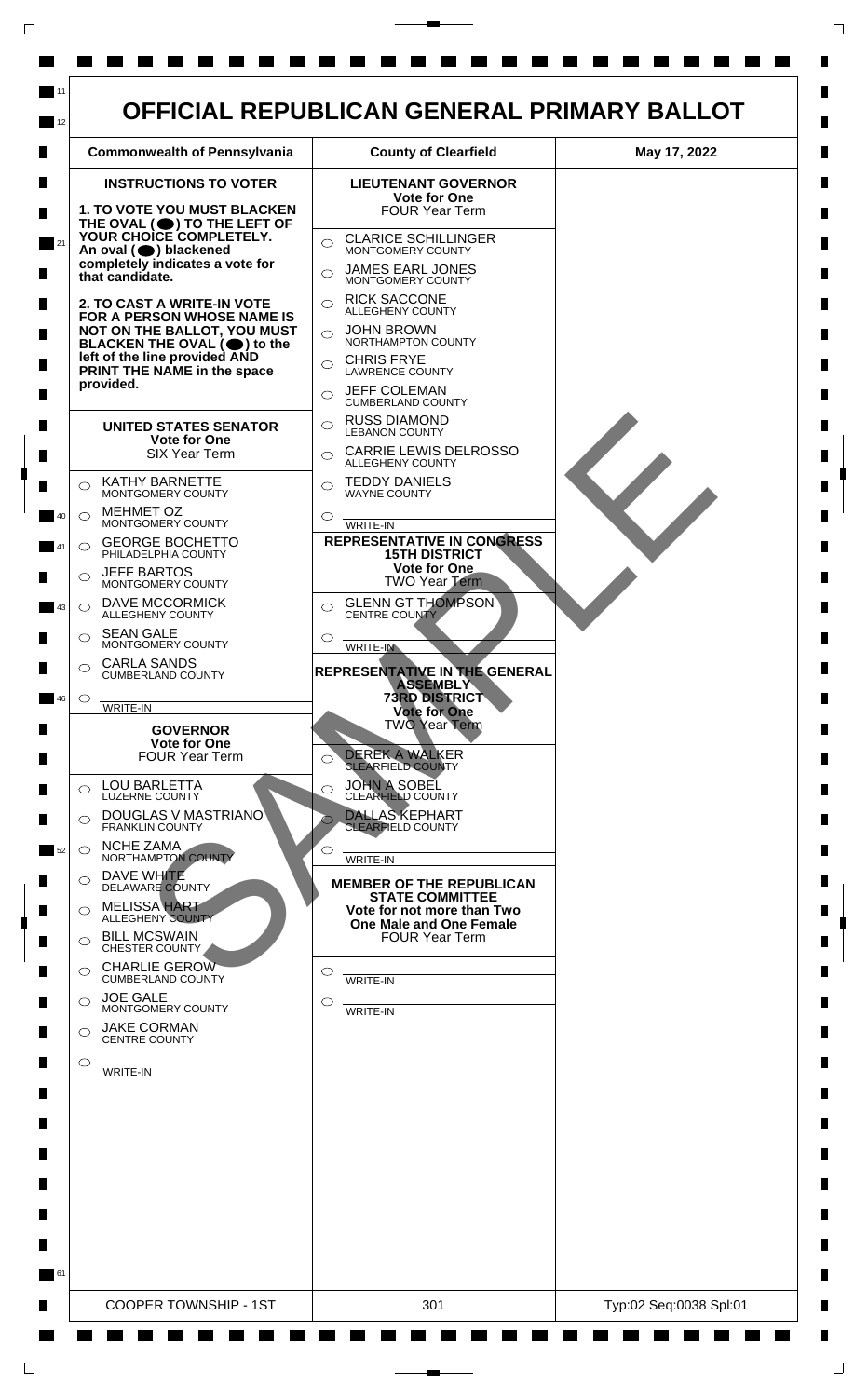

 $\Box$ 

 $\Box$